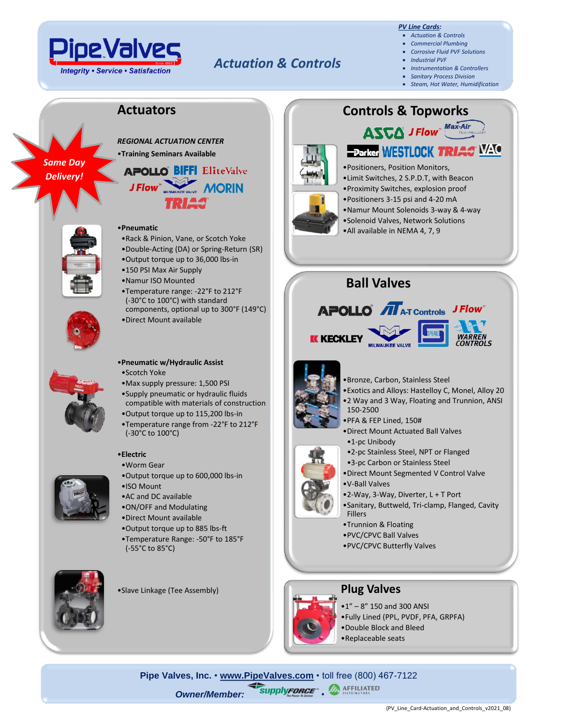

## *Actuation & Controls*

#### *PV Line Cards:*

- *Actuation & Controls*
- *Commercial Plumbing* • *Corrosive Fluid PVF Solutions*
- *Industrial PVF*
- *Instrumentation & Controllers*
- *Sanitary Process Division*
- *Steam, Hot Water, Humidification*

#### **Actuators**

*Same Day Delivery!*



# J Flow MORIN 21 H.S



#### •**Pneumatic**

- •Rack & Pinion, Vane, or Scotch Yoke
- •Double-Acting (DA) or Spring-Return (SR)
- •Output torque up to 36,000 lbs-in
- •150 PSI Max Air Supply
- •Namur ISO Mounted
- •Temperature range: -22°F to 212°F (-30°C to 100°C) with standard components, optional up to 300°F (149°C)
- •Direct Mount available



#### •**Pneumatic w/Hydraulic Assist** •Scotch Yoke

- •Max supply pressure: 1,500 PSI
- •Supply pneumatic or hydraulic fluids compatible with materials of construction
- •Output torque up to 115,200 lbs-in
- •Temperature range from -22°F to 212°F (-30°C to 100°C)

#### •**Electric**

- •Worm Gear
- •Output torque up to 600,000 lbs-in
- •ISO Mount
- •AC and DC available
- •ON/OFF and Modulating
- •Direct Mount available
- •Output torque up to 885 lbs-ft
- •Temperature Range: -50°F to 185°F (-55°C to 85°C)



•Slave Linkage (Tee Assembly)

## **Controls & Topworks ASCA** J Flow Max-Air



•Positioners, Position Monitors, •Limit Switches, 2 S.P.D.T, with Beacon •Proximity Switches, explosion proof •Positioners 3-15 psi and 4-20 mA •Namur Mount Solenoids 3-way & 4-way •Solenoid Valves, Network Solutions •All available in NEMA 4, 7, 9

**EParker WESTLOCK TRIAC VALUE** 

### **Ball Valves**





**WARRFN** 



- •Bronze, Carbon, Stainless Steel
- •Exotics and Alloys: Hastelloy C, Monel, Alloy 20 •2 Way and 3 Way, Floating and Trunnion, ANSI 150-2500
- •PFA & FEP Lined, 150#
- •Direct Mount Actuated Ball Valves
- •1-pc Unibody
- •2-pc Stainless Steel, NPT or Flanged
- •3-pc Carbon or Stainless Steel
- •Direct Mount Segmented V Control Valve
- •V-Ball Valves
- •2-Way, 3-Way, Diverter, L + T Port
- •Sanitary, Buttweld, Tri-clamp, Flanged, Cavity Fillers
- •Trunnion & Floating
- •PVC/CPVC Ball Valves
- •PVC/CPVC Butterfly Valves



#### **Plug Valves**

•1" – 8" 150 and 300 ANSI •Fully Lined (PPL, PVDF, PFA, GRPFA)

- •Double Block and Bleed •Replaceable seats
- **Pipe Valves, Inc. [www.PipeValves.com](file://///pvi-fps01/Public/Line%20Cards/Columbus/Line%20Cards-Corrosive%20Fluid%20PVF%20Solutions/www.PipeValves.com)** toll free (800) 467-7122 **Owner/Member: SupplyFORCE . A AFFILIATED**